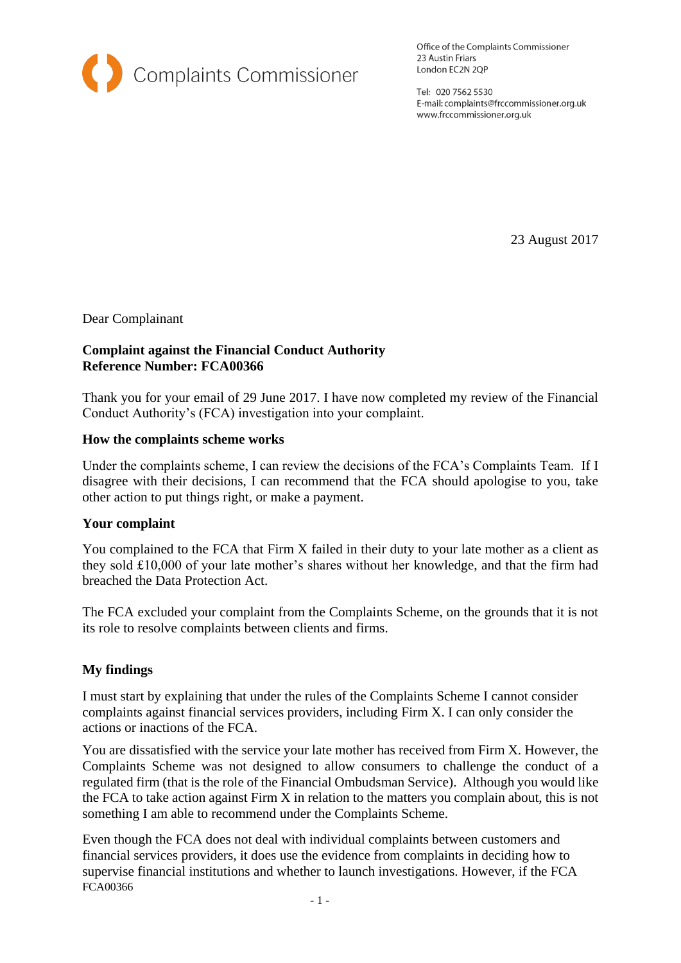

Office of the Complaints Commissioner 23 Austin Friars London EC2N 2QP

Tel: 020 7562 5530 E-mail: complaints@frccommissioner.org.uk www.frccommissioner.org.uk

23 August 2017

Dear Complainant

## **Complaint against the Financial Conduct Authority Reference Number: FCA00366**

Thank you for your email of 29 June 2017. I have now completed my review of the Financial Conduct Authority's (FCA) investigation into your complaint.

## **How the complaints scheme works**

Under the complaints scheme, I can review the decisions of the FCA's Complaints Team. If I disagree with their decisions, I can recommend that the FCA should apologise to you, take other action to put things right, or make a payment.

#### **Your complaint**

You complained to the FCA that Firm X failed in their duty to your late mother as a client as they sold £10,000 of your late mother's shares without her knowledge, and that the firm had breached the Data Protection Act.

The FCA excluded your complaint from the Complaints Scheme, on the grounds that it is not its role to resolve complaints between clients and firms.

# **My findings**

I must start by explaining that under the rules of the Complaints Scheme I cannot consider complaints against financial services providers, including Firm X. I can only consider the actions or inactions of the FCA.

You are dissatisfied with the service your late mother has received from Firm X. However, the Complaints Scheme was not designed to allow consumers to challenge the conduct of a regulated firm (that is the role of the Financial Ombudsman Service). Although you would like the FCA to take action against Firm X in relation to the matters you complain about, this is not something I am able to recommend under the Complaints Scheme.

FCA00366 Even though the FCA does not deal with individual complaints between customers and financial services providers, it does use the evidence from complaints in deciding how to supervise financial institutions and whether to launch investigations. However, if the FCA